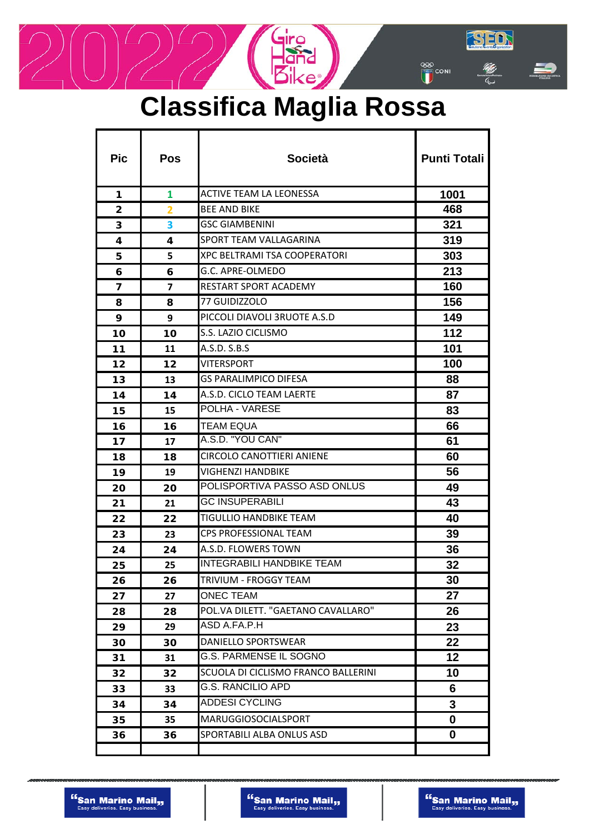# **Classifica Maglia Rossa**

 $\frac{1}{2}$ 

| <b>Pic</b>              | Pos | <b>Società</b>                      | <b>Punti Totali</b> |
|-------------------------|-----|-------------------------------------|---------------------|
| 1                       | 1   | <b>ACTIVE TEAM LA LEONESSA</b>      | 1001                |
| 2                       | 2   | <b>BEE AND BIKE</b>                 | 468                 |
| 3                       | 3   | <b>GSC GIAMBENINI</b>               | 321                 |
| 4                       | 4   | SPORT TEAM VALLAGARINA              | 319                 |
| 5.                      | 5   | <b>XPC BELTRAMI TSA COOPERATORI</b> | 303                 |
| 6                       | 6   | G.C. APRE-OLMEDO                    | 213                 |
| $\overline{\mathbf{z}}$ | 7   | <b>RESTART SPORT ACADEMY</b>        | 160                 |
| 8                       | 8   | 77 GUIDIZZOLO                       | 156                 |
| 9                       | 9   | PICCOLI DIAVOLI 3RUOTE A.S.D        | 149                 |
| 10                      | 10  | S.S. LAZIO CICLISMO                 | 112                 |
| 11                      | 11  | A.S.D. S.B.S                        | 101                 |
| 12                      | 12  | <b>VITERSPORT</b>                   | 100                 |
| 13                      | 13  | <b>GS PARALIMPICO DIFESA</b>        | 88                  |
| 14                      | 14  | A.S.D. CICLO TEAM LAERTE            | 87                  |
| 15                      | 15  | POLHA - VARESE                      | 83                  |
| 16                      | 16  | <b>TEAM EQUA</b>                    | 66                  |
| 17                      | 17  | A.S.D. "YOU CAN"                    | 61                  |
| 18                      | 18  | <b>CIRCOLO CANOTTIERI ANIENE</b>    | 60                  |
| 19                      | 19  | <b>VIGHENZI HANDBIKE</b>            | 56                  |
| 20                      | 20  | POLISPORTIVA PASSO ASD ONLUS        | 49                  |
| 21                      | 21  | <b>GC INSUPERABILI</b>              | 43                  |
| 22                      | 22  | <b>TIGULLIO HANDBIKE TEAM</b>       | 40                  |
| 23                      | 23  | <b>CPS PROFESSIONAL TEAM</b>        | 39                  |
| 24                      | 24  | A.S.D. FLOWERS TOWN                 | 36                  |
| 25                      | 25  | <b>INTEGRABILI HANDBIKE TEAM</b>    | 32                  |
| 26                      | 26  | TRIVIUM - FROGGY TEAM               | 30                  |
| 27                      | 27  | <b>ONEC TEAM</b>                    | 27                  |
| 28                      | 28  | POL.VA DILETT. "GAETANO CAVALLARO"  | 26                  |
| 29                      | 29  | ASD A.FA.P.H                        | 23                  |
| 30                      | 30  | DANIELLO SPORTSWEAR                 | 22                  |
| 31                      | 31  | G.S. PARMENSE IL SOGNO              | 12                  |
| 32                      | 32  | SCUOLA DI CICLISMO FRANCO BALLERINI | 10                  |
| 33                      | 33  | <b>G.S. RANCILIO APD</b>            | 6                   |
| 34                      | 34  | <b>ADDESI CYCLING</b>               | 3                   |
| 35                      | 35  | <b>MARUGGIOSOCIALSPORT</b>          | 0                   |
| 36                      | 36  | SPORTABILI ALBA ONLUS ASD           | 0                   |
|                         |     |                                     |                     |

SED

E.

70

**EXED**<br> **EXED**<br>
CONI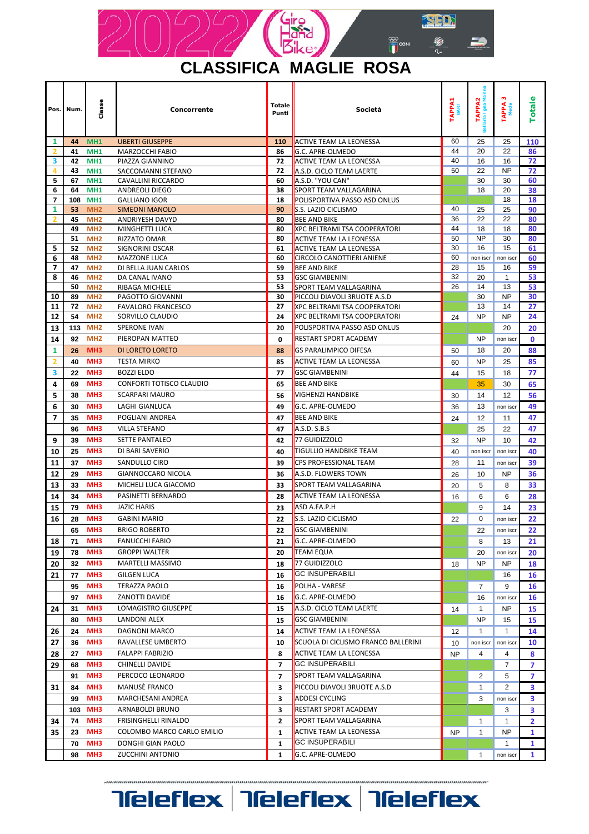

Totale

Punti

Concorrente

Classe

Num Pos

1

 $\begin{array}{r} 5 \\ \hline 6 \\ \hline 7 \\ 1 \end{array}$ 

 $\overline{2}$ 

 $\begin{array}{r} 5 \\ \hline 6 \\ \hline 7 \\ 8 \end{array}$ 

 $10$  $\overline{11}$  $\overline{12}$ 13  $\frac{14}{1}$  $\overline{\mathbf{1}}$  $\overline{\mathbf{2}}$  $\overline{\mathbf{3}}$  $\overline{\mathbf{4}}$  $\overline{\mathbf{5}}$  $\overline{6}$ 

 $\overline{9}$  $\overline{10}$  $\overline{11}$  $\overline{12}$  $\overline{13}$  $14$ 15 16

18  $\overline{19}$  $\overline{20}$  $\overline{21}$ 

24

 $\overline{31}$ 

 $\overline{34}$ 

 $\overline{35}$ 

 $74$ 

23

70

98

MH<sub>3</sub>

MH<sub>3</sub>

MH<sub>3</sub>

MH<sub>3</sub>

**FRISINGHELLI RINALDO** 

DONGHI GIAN PAOLO

**ZUCCHINI ANTONIO** 

COLOMBO MARCO CARLO EMILIO

TAPPA 3

TAPPA1

Società

TAPPA2<br>aria Igea Mar

Totale

 $\overline{\mathbf{3}}$  $\overline{\mathbf{3}}$  $\overline{\mathbf{3}}$ 

 $\overline{2}$ 

 $\overline{\mathbf{1}}$ 

 $\overline{\mathbf{1}}$ 

 $\overline{\mathbf{1}}$ 

 $\overline{1}$ 

 $\overline{1}$ 

 $\overline{1}$ 

 $NP$ 

 $\overline{1}$ 

 $NP$ 

 $\overline{1}$ 

non iscr

|           |                                    |                                          |                |                                            |    | å              |                |                         |
|-----------|------------------------------------|------------------------------------------|----------------|--------------------------------------------|----|----------------|----------------|-------------------------|
| 44        | MH <sub>1</sub>                    | <b>UBERTI GIUSEPPE</b>                   | 110            | <b>ACTIVE TEAM LA LEONESSA</b>             | 60 | 25             | 25             | 110                     |
| 41        | MH <sub>1</sub>                    | MARZOCCHI FABIO                          | 86             | G.C. APRE-OLMEDO                           | 44 | 20             | 22             | 86                      |
| 42        | MH <sub>1</sub>                    | PIAZZA GIANNINO                          | 72             | <b>ACTIVE TEAM LA LEONESSA</b>             |    | 16             | 16             | 72                      |
| 43        | MH <sub>1</sub>                    | SACCOMANNI STEFANO                       | 72             | A.S.D. CICLO TEAM LAERTE                   |    | 22             | <b>NP</b>      | 72                      |
| 67        | MH <sub>1</sub>                    | CAVALLINI RICCARDO                       | 60             | A.S.D. "YOU CAN"                           |    | 30             | 30             | 60                      |
| 64        | MH <sub>1</sub>                    | ANDREOLI DIEGO                           | 38             | SPORT TEAM VALLAGARINA                     |    | 18             | 20             | 38                      |
| 108<br>53 | MH <sub>1</sub>                    | <b>GALLIANO IGOR</b>                     | 18<br>90       | <b>POLISPORTIVA PASSO ASD ONLUS</b>        | 40 | 25             | 18<br>25       | 18<br>90                |
| 45        | MH <sub>2</sub><br>MH <sub>2</sub> | <b>SIMEONI MANOLO</b><br>ANDRIYESH DAVYD | 80             | S.S. LAZIO CICLISMO<br><b>BEE AND BIKE</b> | 36 | 22             | 22             | 80                      |
| 49        | MH <sub>2</sub>                    | MINGHETTI LUCA                           | 80             | <b>XPC BELTRAMI TSA COOPERATORI</b>        | 44 | 18             | 18             | 80                      |
| 51        | MH <sub>2</sub>                    | RIZZATO OMAR                             | 80             | <b>ACTIVE TEAM LA LEONESSA</b>             | 50 | <b>NP</b>      | 30             | 80                      |
| 52        | MH <sub>2</sub>                    | SIGNORINI OSCAR                          | 61             | <b>ACTIVE TEAM LA LEONESSA</b>             | 30 | 16             | 15             | 61                      |
| 48        | MH <sub>2</sub>                    | <b>MAZZONE LUCA</b>                      | 60             | <b>CIRCOLO CANOTTIERI ANIENE</b>           |    | non iscr       | non iscr       | 60                      |
| 47        | MH <sub>2</sub>                    | DI BELLA JUAN CARLOS                     | 59             | <b>BEE AND BIKE</b>                        |    | 15             | 16             | 59                      |
| 46        | MH <sub>2</sub>                    | DA CANAL IVANO                           | 53             | <b>GSC GIAMBENINI</b>                      | 32 | 20             | $\mathbf{1}$   | 53                      |
| 50        | MH <sub>2</sub>                    | <b>RIBAGA MICHELE</b>                    | 53             | SPORT TEAM VALLAGARINA                     | 26 | 14             | 13             | 53                      |
| 89        | MH <sub>2</sub>                    | PAGOTTO GIOVANNI                         | 30             | PICCOLI DIAVOLI 3RUOTE A.S.D               |    | 30             | <b>NP</b>      | 30                      |
| 72        | MH <sub>2</sub>                    | <b>FAVALORO FRANCESCO</b>                | 27             | <b>XPC BELTRAMI TSA COOPERATORI</b>        |    | 13             | 14             | 27                      |
| 54        | MH <sub>2</sub>                    | SORVILLO CLAUDIO                         | 24             | <b>XPC BELTRAMI TSA COOPERATORI</b>        | 24 | <b>NP</b>      | <b>NP</b>      | 24                      |
| 113       | MH <sub>2</sub>                    | <b>SPERONE IVAN</b>                      | 20             | <b>POLISPORTIVA PASSO ASD ONLUS</b>        |    |                | 20             | 20                      |
| 92        | MH <sub>2</sub>                    | PIEROPAN MATTEO                          | 0              | <b>RESTART SPORT ACADEMY</b>               |    | <b>NP</b>      | non iscr       | $\mathbf{0}$            |
| 26        | MH <sub>3</sub>                    | DI LORETO LORETO                         | 88             | <b>GS PARALIMPICO DIFESA</b>               | 50 | 18             | 20             | 88                      |
| 40        | MH <sub>3</sub>                    | <b>TESTA MIRKO</b>                       | 85             | <b>ACTIVE TEAM LA LEONESSA</b>             | 60 | <b>NP</b>      | 25             | 85                      |
| 22        | MH <sub>3</sub>                    | <b>BOZZI ELDO</b>                        | 77             | <b>GSC GIAMBENINI</b>                      | 44 | 15             | 18             | 77                      |
| 69        | MH <sub>3</sub>                    | CONFORTI TOTISCO CLAUDIO                 | 65             | <b>BEE AND BIKE</b>                        |    | 35             | 30             | 65                      |
| 38        | MH <sub>3</sub>                    | <b>SCARPARI MAURO</b>                    | 56             | <b>VIGHENZI HANDBIKE</b>                   | 30 | 14             | 12             | 56                      |
| 30        | MH <sub>3</sub>                    | LAGHI GIANLUCA                           | 49             | G.C. APRE-OLMEDO                           | 36 | 13             | non iscr       | 49                      |
| 35        | MH <sub>3</sub>                    | POGLIANI ANDREA                          | 47             | <b>BEE AND BIKE</b>                        | 24 | 12             | 11             | 47                      |
| 96        | MH <sub>3</sub>                    | <b>VILLA STEFANO</b>                     | 47             | A.S.D. S.B.S                               |    | 25             | 22             | 47                      |
|           | MH <sub>3</sub>                    | <b>SETTE PANTALEO</b>                    | 42             | 77 GUIDIZZOLO                              |    | <b>NP</b>      | 10             |                         |
| 39        |                                    |                                          |                |                                            | 32 |                |                | 42                      |
| 25        | MH <sub>3</sub>                    | DI BARI SAVERIO                          | 40             | <b>TIGULLIO HANDBIKE TEAM</b>              | 40 | non iscr       | non iscr       | 40                      |
| 37        | MH <sub>3</sub>                    | SANDULLO CIRO                            | 39             | CPS PROFESSIONAL TEAM                      | 28 | 11             | non iscr       | 39                      |
| 29        | MH <sub>3</sub>                    | GIANNOCCARO NICOLA                       | 36             | A.S.D. FLOWERS TOWN                        | 26 | 10             | <b>NP</b>      | 36                      |
| 33        | MH <sub>3</sub>                    | MICHELI LUCA GIACOMO                     | 33             | SPORT TEAM VALLAGARINA                     | 20 | 5              | 8              | 33                      |
| 34        | MH <sub>3</sub>                    | PASINETTI BERNARDO                       | 28             | <b>ACTIVE TEAM LA LEONESSA</b>             | 16 | 6              | 6              | 28                      |
| 79        | MH <sub>3</sub>                    | <b>JAZIC HARIS</b>                       | 23             | ASD A.FA.P.H                               |    | 9              | 14             | 23                      |
| 28        | MH <sub>3</sub>                    | <b>GABINI MARIO</b>                      | 22             | S.S. LAZIO CICLISMO                        | 22 | 0              | non iscr       | 22                      |
| 65        | MH <sub>3</sub>                    | <b>BRIGO ROBERTO</b>                     | 22             | <b>GSC GIAMBENINI</b>                      |    | 22             | non iscr       | 22                      |
| 71        | MH <sub>3</sub>                    | <b>FANUCCHI FABIO</b>                    | 21             | G.C. APRE-OLMEDO                           |    | 8              | 13             | 21                      |
| 78        | MH <sub>3</sub>                    | <b>GROPPI WALTER</b>                     | 20             | <b>TEAM EQUA</b>                           |    | 20             | non iscr       | 20                      |
| 32        | MH <sub>3</sub>                    | <b>MARTELLI MASSIMO</b>                  | 18             | 77 GUIDIZZOLO                              | 18 | <b>NP</b>      | <b>NP</b>      | 18                      |
| 77        | MH3                                | <b>GILGEN LUCA</b>                       | 16             | <b>GC INSUPERABILI</b>                     |    |                | 16             | 16                      |
|           | 95 MH3                             | TERAZZA PAOLO                            | 16             | POLHA - VARESE                             |    | $\overline{7}$ | 9              | 16                      |
|           | 97 MH3                             | ZANOTTI DAVIDE                           | 16             | G.C. APRE-OLMEDO                           |    | 16             | non iscr       | 16                      |
| 31        | MH <sub>3</sub>                    | LOMAGISTRO GIUSEPPE                      | 15             | A.S.D. CICLO TEAM LAERTE                   | 14 | $\mathbf{1}$   | NP             | 15                      |
| 80        | MH <sub>3</sub>                    | LANDONI ALEX                             | 15             | <b>GSC GIAMBENINI</b>                      |    | NP             | 15             | 15                      |
|           | MH <sub>3</sub>                    | <b>DAGNONI MARCO</b>                     |                | <b>ACTIVE TEAM LA LEONESSA</b>             |    |                |                |                         |
| 24        | MH <sub>3</sub>                    | RAVALLESE UMBERTO                        | 14             | SCUOLA DI CICLISMO FRANCO BALLERINI        | 12 | $\mathbf{1}$   | $\mathbf{1}$   | 14                      |
| 36        |                                    |                                          | 10             |                                            | 10 | non iscr       | non iscr       | 10                      |
| 27        | MH <sub>3</sub>                    | <b>FALAPPI FABRIZIO</b>                  | 8              | <b>ACTIVE TEAM LA LEONESSA</b>             | NP | 4              | 4              | 8                       |
| 68        | MH <sub>3</sub>                    | CHINELLI DAVIDE                          | $\overline{ }$ | <b>GC INSUPERABILI</b>                     |    |                | $\overline{7}$ | 7                       |
| 91        | MH <sub>3</sub>                    | PERCOCO LEONARDO                         | 7              | SPORT TEAM VALLAGARINA                     |    | 2              | 5              | 7                       |
| 84        | MH <sub>3</sub>                    | MANUSE FRANCO                            | 3              | PICCOLI DIAVOLI 3RUOTE A.S.D               |    | $\mathbf{1}$   | 2              | 3                       |
| 99        | MH <sub>3</sub>                    | MARCHESANI ANDREA                        | 3              | <b>ADDESI CYCLING</b>                      |    | 3              | non iscr       | 3                       |
|           | 103 MH3                            | ARNABOLDI BRUNO                          | 3              | <b>RESTART SPORT ACADEMY</b>               |    |                | 3              | $\overline{\mathbf{z}}$ |

## **Teleflex Teleflex Teleflex**

 $\overline{\mathbf{2}}$ 

 $\mathbf{1}$ 

 $\mathbf{1}$ 

 $\mathbf{1}$ 

SPORT TEAM VALLAGARINA

**ACTIVE TEAM LA LEONESSA** 

**GC INSUPERABILI** 

G.C. APRE-OLMEDO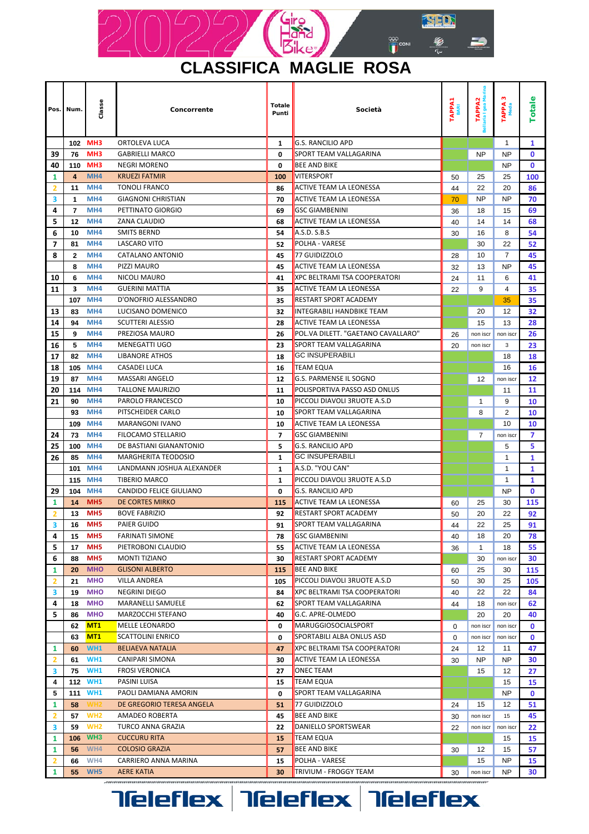

### **CLASSIFICA MAGLIE ROSA**

| Pos.                    | Num.         | Classe                             | Concorrente                                             | <b>Totale</b><br>Punti | Società                                            |    | TAPPA2<br>aria Igea Mai<br>laria Igea | w<br>TAPPA<br>Meda           | Totale       |
|-------------------------|--------------|------------------------------------|---------------------------------------------------------|------------------------|----------------------------------------------------|----|---------------------------------------|------------------------------|--------------|
|                         |              | 102 MH3                            | ORTOLEVA LUCA                                           | $\mathbf{1}$           | <b>G.S. RANCILIO APD</b>                           |    |                                       | $\mathbf{1}$                 | 1            |
| 39                      | 76           | MH <sub>3</sub>                    | <b>GABRIELLI MARCO</b>                                  | 0                      | SPORT TEAM VALLAGARINA                             |    | <b>NP</b>                             | <b>NP</b>                    | $\mathbf 0$  |
| 40                      | 110          | MH <sub>3</sub>                    | <b>NEGRI MORENO</b>                                     | 0                      | <b>BEE AND BIKE</b>                                |    |                                       | <b>NP</b>                    | $\mathbf 0$  |
| 1                       | 4            | MH4                                | <b>KRUEZI FATMIR</b>                                    | 100                    | <b>VITERSPORT</b>                                  |    | 25                                    | 25                           | 100          |
| $\overline{\mathbf{2}}$ | 11           | MH4                                | <b>TONOLI FRANCO</b>                                    | 86                     | <b>ACTIVE TEAM LA LEONESSA</b>                     |    | 22                                    | 20                           | 86           |
| 3                       | 1            | MH <sub>4</sub>                    | <b>GIAGNONI CHRISTIAN</b>                               | 70                     | <b>ACTIVE TEAM LA LEONESSA</b>                     | 70 | NP                                    | <b>NP</b>                    | 70           |
| 4                       | 7            | MH4                                | PETTINATO GIORGIO                                       | 69                     | <b>GSC GIAMBENINI</b>                              | 36 | 18                                    | 15                           | 69           |
| 5                       | 12           | MH4                                | ZANA CLAUDIO                                            | 68                     | <b>ACTIVE TEAM LA LEONESSA</b>                     | 40 | 14                                    | 14                           | 68           |
| 6                       | 10           | MH4                                | <b>SMITS BERND</b>                                      | 54                     | A.S.D. S.B.S                                       | 30 | 16                                    | 8                            | 54           |
| 7                       | 81           | MH4                                | <b>LASCARO VITO</b>                                     | 52                     | POLHA - VARESE                                     |    | 30                                    | 22                           | 52           |
| 8                       | $\mathbf{2}$ | MH4                                | CATALANO ANTONIO                                        | 45                     | 77 GUIDIZZOLO                                      | 28 | 10                                    | 7                            | 45           |
|                         | 8            | MH4                                | PIZZI MAURO                                             | 45                     | <b>ACTIVE TEAM LA LEONESSA</b>                     | 32 | 13                                    | <b>NP</b>                    | 45           |
| 10                      | 6            | MH4                                | NICOLI MAURO                                            | 41                     | <b>XPC BELTRAMI TSA COOPERATORI</b>                | 24 | 11                                    | 6                            | 41           |
| 11                      | 3            | MH4                                | <b>GUERINI MATTIA</b>                                   | 35                     | <b>ACTIVE TEAM LA LEONESSA</b>                     | 22 | 9                                     | 4                            | 35           |
|                         | 107          | MH <sub>4</sub>                    | D'ONOFRIO ALESSANDRO                                    | 35                     | <b>RESTART SPORT ACADEMY</b>                       |    |                                       | 35                           | 35           |
| 13                      | 83           | MH <sub>4</sub>                    | LUCISANO DOMENICO                                       | 32                     | <b>INTEGRABILI HANDBIKE TEAM</b>                   |    | 20                                    | 12                           | 32           |
| 14                      | 94           | MH4                                | <b>SCUTTERI ALESSIO</b>                                 | 28                     | <b>ACTIVE TEAM LA LEONESSA</b>                     |    | 15                                    | 13                           | 28           |
| 15                      | 9            | MH4                                | PREZIOSA MAURO                                          | 26                     | POL.VA DILETT. "GAETANO CAVALLARO"                 | 26 | non iscr                              | non iscr                     | 26           |
| 16                      | 5            | MH4                                | <b>MENEGATTI UGO</b>                                    | 23                     | SPORT TEAM VALLAGARINA                             | 20 | non iscr                              | 3                            | 23           |
| 17                      | 82           | MH4                                | <b>LIBANORE ATHOS</b>                                   | 18                     | <b>GC INSUPERABILI</b>                             |    |                                       | 18                           | 18           |
| 18                      | 105          | MH4                                | <b>CASADEI LUCA</b>                                     | 16                     | <b>TEAM EQUA</b>                                   |    |                                       | 16                           | 16           |
| 19                      | 87           | MH <sub>4</sub>                    | <b>MASSARI ANGELO</b>                                   | 12                     | <b>G.S. PARMENSE IL SOGNO</b>                      |    | 12                                    | non iscr                     | 12           |
| 20                      | 114          | MH4                                | <b>TALLONE MAURIZIO</b>                                 | 11                     | POLISPORTIVA PASSO ASD ONLUS                       |    |                                       | 11                           | 11           |
| 21                      | 90           | MH <sub>4</sub>                    | PAROLO FRANCESCO                                        | 10                     | PICCOLI DIAVOLI 3RUOTE A.S.D                       |    | 1                                     | 9                            | 10           |
|                         | 93           | MH4                                | PITSCHEIDER CARLO                                       | 10                     | SPORT TEAM VALLAGARINA                             |    | 8                                     | 2                            | 10           |
|                         | 109          | MH4                                | <b>MARANGONI IVANO</b>                                  | 10                     | <b>ACTIVE TEAM LA LEONESSA</b>                     |    |                                       | 10                           | 10           |
| 24                      | 73           | MH4                                | <b>FILOCAMO STELLARIO</b>                               | $\overline{ }$         | <b>GSC GIAMBENINI</b>                              |    | 7                                     | non iscr                     | 7            |
| 25                      | 100          | MH4                                | DE BASTIANI GIANANTONIO                                 | 5                      | <b>G.S. RANCILIO APD</b><br><b>GC INSUPERABILI</b> |    |                                       | 5                            | 5            |
| 26                      | 85<br>101    | MH <sub>4</sub><br>MH <sub>4</sub> | <b>MARGHERITA TEODOSIO</b><br>LANDMANN JOSHUA ALEXANDER | 1                      | A.S.D. "YOU CAN"                                   |    |                                       | $\mathbf{1}$<br>$\mathbf{1}$ | 1<br>1       |
|                         | 115          | MH <sub>4</sub>                    | <b>TIBERIO MARCO</b>                                    | 1<br>$\mathbf{1}$      | PICCOLI DIAVOLI 3RUOTE A.S.D                       |    |                                       | 1                            | 1            |
| 29                      | 104          | MH4                                | <b>CANDIDO FELICE GIULIANO</b>                          | 0                      | <b>G.S. RANCILIO APD</b>                           |    |                                       | <b>NP</b>                    | $\mathbf 0$  |
| 1                       | 14           | MH <sub>5</sub>                    | DE CORTES MIRKO                                         | 115                    | <b>ACTIVE TEAM LA LEONESSA</b>                     | 60 | 25                                    | 30                           | 115          |
| $\overline{2}$          | 13           | MH <sub>5</sub>                    | <b>BOVE FABRIZIO</b>                                    | 92                     | <b>RESTART SPORT ACADEMY</b>                       | 50 | 20                                    | 22                           | 92           |
| 3                       | 16           | MH <sub>5</sub>                    | PAIER GUIDO                                             | 91                     | SPORT TEAM VALLAGARINA                             | 44 | 22                                    | 25                           | 91           |
| 4                       | 15           | MH <sub>5</sub>                    | <b>FARINATI SIMONE</b>                                  | 78                     | <b>GSC GIAMBENINI</b>                              |    | 18                                    | 20                           | 78           |
| 5                       | 17           | MH <sub>5</sub>                    | PIETROBONI CLAUDIO                                      | 55                     | <b>ACTIVE TEAM LA LEONESSA</b>                     |    | $\mathbf{1}$                          | 18                           | 55           |
| 6                       | 88           | MH <sub>5</sub>                    | <b>MONTI TIZIANO</b>                                    | 30                     | <b>RESTART SPORT ACADEMY</b>                       |    | 30                                    | non iscr                     | 30           |
| 1                       | 20           | <b>MHO</b>                         | <b>GLISONI ALBERTO</b>                                  | 115                    | <b>BEE AND BIKE</b>                                | 60 | 25                                    | 30                           | 115          |
| 2                       | 21           | <b>MHO</b>                         | <b>VILLA ANDREA</b>                                     | 105                    | PICCOLI DIAVOLI 3RUOTE A.S.D                       | 50 | 30                                    | 25                           | 105          |
| з                       | 19           | <b>MHO</b>                         | NEGRINI DIEGO                                           | 84                     | <b>XPC BELTRAMI TSA COOPERATORI</b>                | 40 | 22                                    | 22                           | 84           |
| 4                       | 18           | <b>MHO</b>                         | MARANELLI SAMUELE                                       | 62                     | SPORT TEAM VALLAGARINA                             | 44 | 18                                    | non iscr                     | 62           |
| 5                       | 86           | <b>MHO</b>                         | MARZOCCHI STEFANO                                       | 40                     | G.C. APRE-OLMEDO                                   |    | 20                                    | 20                           | 40           |
|                         | 62           | MT1                                | MELLE LEONARDO                                          | 0                      | MARUGGIOSOCIALSPORT                                | 0  | non iscr                              | non iscr                     | $\mathbf{0}$ |
|                         | 63           | MT1                                | <b>SCATTOLINI ENRICO</b>                                | 0                      | SPORTABILI ALBA ONLUS ASD                          | 0  | non iscr                              | non iscr                     | $\mathbf{0}$ |
| 1                       | 60           | WH <sub>1</sub>                    | <b>BELIAEVA NATALIA</b>                                 | 47                     | XPC BELTRAMI TSA COOPERATORI                       | 24 | 12                                    | 11                           | 47           |
| $\overline{2}$          | 61           | <b>WH1</b>                         | CANIPARI SIMONA                                         | 30                     | <b>ACTIVE TEAM LA LEONESSA</b>                     | 30 | NP                                    | <b>NP</b>                    | 30           |
| 3                       | 75           | <b>WH1</b>                         | <b>FROSI VERONICA</b>                                   | 27                     | <b>ONEC TEAM</b>                                   |    | 15                                    | 12                           | 27           |
| 4                       |              | 112 WH1                            | PASINI LUISA                                            | 15                     | <b>TEAM EQUA</b>                                   |    |                                       | 15                           | 15           |
| 5                       | 111          | WH <sub>1</sub>                    | PAOLI DAMIANA AMORIN                                    | 0                      | SPORT TEAM VALLAGARINA                             |    |                                       | <b>NP</b>                    | $\mathbf{0}$ |
| 1                       | 58           | NH2                                | DE GREGORIO TERESA ANGELA                               | 51                     | 77 GUIDIZZOLO                                      | 24 | 15                                    | 12                           | 51           |
| $\overline{2}$          | 57           | WH <sub>2</sub>                    | AMADEO ROBERTA                                          | 45                     | <b>BEE AND BIKE</b>                                | 30 | non iscr                              | 15                           | 45           |
| 3                       | 59           | WH <sub>2</sub>                    | TURCO ANNA GRAZIA                                       | 22                     | DANIELLO SPORTSWEAR                                | 22 | non iscr                              | non iscr                     | 22           |
| 1                       | 106          | WH <sub>3</sub>                    | <b>CUCCURU RITA</b>                                     | 15                     | <b>TEAM EQUA</b>                                   |    |                                       | 15                           | 15           |
| 1                       | 56           | WH4                                | <b>COLOSIO GRAZIA</b>                                   | 57                     | <b>BEE AND BIKE</b>                                | 30 | 12                                    | 15                           | 57           |
| $\overline{2}$          | 66           | WH4                                | CARRIERO ANNA MARINA                                    | 15                     | POLHA - VARESE                                     |    | 15                                    | <b>NP</b>                    | 15           |
| 1                       | 55           | WH <sub>5</sub>                    | <b>AERE KATIA</b>                                       | 30                     | TRIVIUM - FROGGY TEAM                              | 30 | non iscr                              | NP                           | 30           |

**Tieleflex Tieleflex Tieleflex**